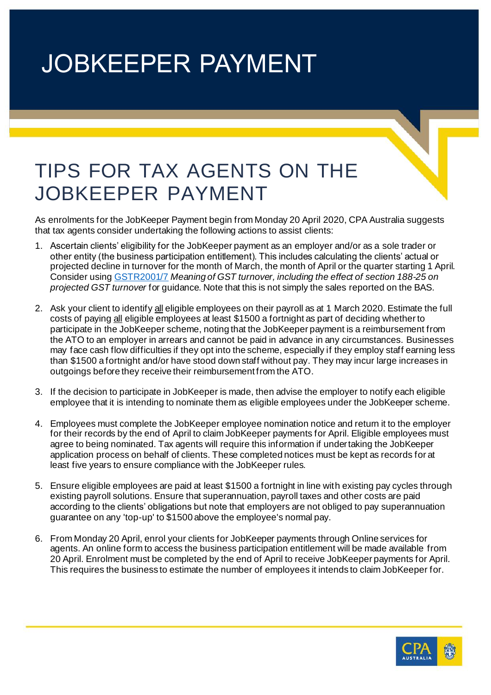## JOBKEEPER PAYMENT

## TIPS FOR TAX AGENTS ON THE JOBKEEPER PAYMENT

As enrolments for the JobKeeper Payment begin from Monday 20 April 2020, CPA Australia suggests that tax agents consider undertaking the following actions to assist clients:

- 1. Ascertain clients' eligibility for the JobKeeper payment as an employer and/or as a sole trader or other entity (the business participation entitlement). This includes calculating the clients' actual or projected decline in turnover for the month of March, the month of April or the quarter starting 1 April. Consider usin[g GSTR2001/7](https://www.ato.gov.au/law/view/document?Docid=GST/GSTR20017/NAT/ATO/00001&PiT=99991231235958&utm_source=exacttarget&utm_medium=email&utm_term=All%20Subscribers&utm_content=https%3a%2f%2fwww.ato.gov.au%2flaw%2fview%2fdocument%3fDocid%3dGST%2fGSTR20017%2fNAT%2fATO%2f00001%26PiT%3d99991231235958&utm_campaign=CPA+Tax+News+ed+14+-+16+April+2020_16-April-2020) *Meaning of GST turnover, including the effect of section 188-25 on projected GST turnover* for guidance. Note that this is not simply the sales reported on the BAS.
- 2. Ask your client to identify all eligible employees on their payroll as at 1 March 2020. Estimate the full costs of paying all eligible employees at least \$1500 a fortnight as part of deciding whether to participate in the JobKeeper scheme, noting that the JobKeeper payment is a reimbursement from the ATO to an employer in arrears and cannot be paid in advance in any circumstances. Businesses may face cash flow difficulties if they opt into the scheme, especially if they employ staff earning less than \$1500 a fortnight and/or have stood down staff without pay. They may incur large increases in outgoings before they receive their reimbursement from the ATO.
- 3. If the decision to participate in JobKeeper is made, then advise the employer to notify each eligible employee that it is intending to nominate them as eligible employees under the JobKeeper scheme.
- 4. Employees must complete the JobKeeper employee nomination notice and return it to the employer for their records by the end of April to claim JobKeeper payments for April. Eligible employees must agree to being nominated. Tax agents will require this information if undertaking the JobKeeper application process on behalf of clients. These completed notices must be kept as records for at least five years to ensure compliance with the JobKeeper rules.
- 5. Ensure eligible employees are paid at least \$1500 a fortnight in line with existing pay cycles through existing payroll solutions. Ensure that superannuation, payroll taxes and other costs are paid according to the clients' obligations but note that employers are not obliged to pay superannuation guarantee on any 'top-up' to \$1500 above the employee's normal pay.
- 6. From Monday 20 April, enrol your clients for JobKeeper payments through Online services for agents. An online form to access the business participation entitlement will be made available from 20 April. Enrolment must be completed by the end of April to receive JobKeeper payments for April. This requires the business to estimate the number of employees it intends to claim JobKeeper for.